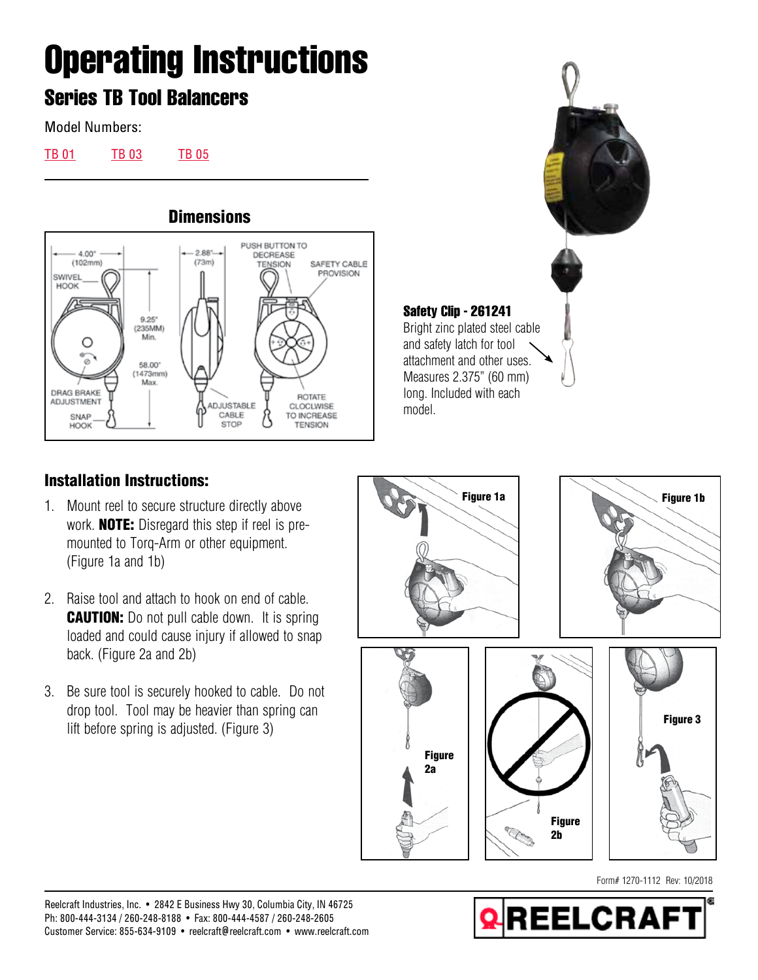## **Operating Instructions**

## **Series TB Tool Balancers**

Model Numbers:

[TB 01](https://www.reelcraft.com/catalog/product_search4.aspx?search=tb%2001&category=tb) [TB 03](https://www.reelcraft.com/catalog/product_search4.aspx?search=tb%2003&category=tb) [TB 05](https://www.reelcraft.com/catalog/product_search4.aspx?search=tb%2005&category=tb)



**Safety Clip - 261241** Bright zinc plated steel cable and safety latch for tool attachment and other uses. Measures 2.375" (60 mm) long. Included with each model.

## Installation Instructions:

- 1. Mount reel to secure structure directly above work. NOTE: Disregard this step if reel is premounted to Torq-Arm or other equipment. (Figure 1a and 1b)
- 2. Raise tool and attach to hook on end of cable. **CAUTION:** Do not pull cable down. It is spring loaded and could cause injury if allowed to snap back. (Figure 2a and 2b)
- 3. Be sure tool is securely hooked to cable. Do not drop tool. Tool may be heavier than spring can lift before spring is adjusted. (Figure 3)